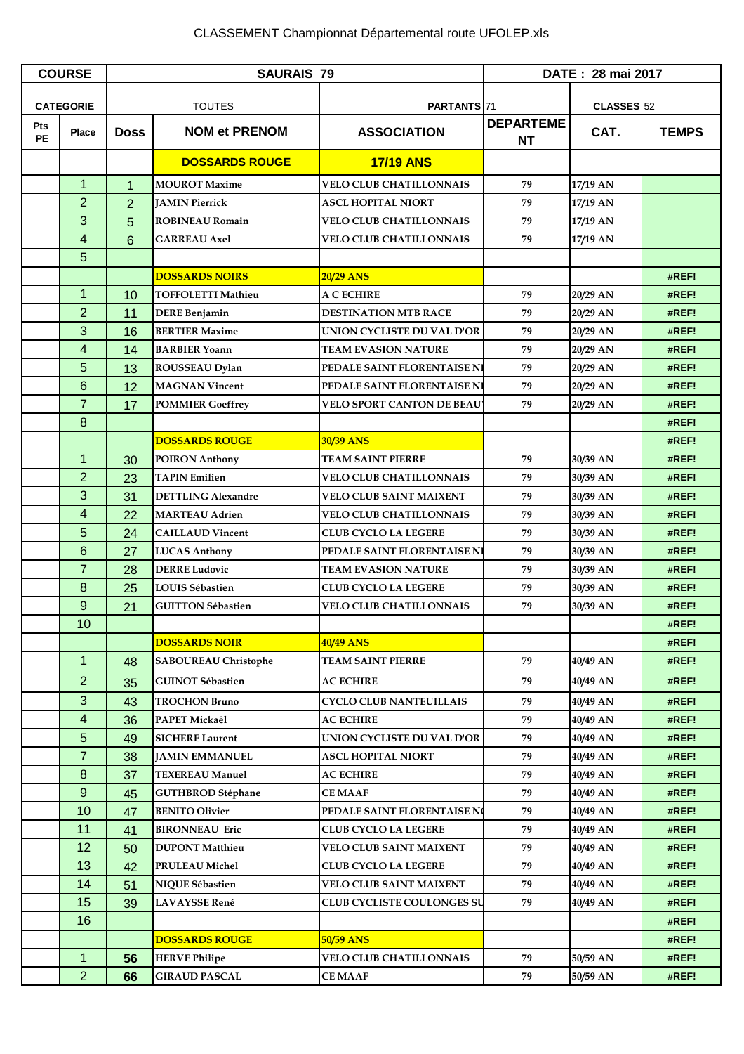## CLASSEMENT Championnat Départemental route UFOLEP.xls

| <b>COURSE</b>    |                | <b>SAURAIS 79</b> |                             |                                   | DATE: 28 mai 2017      |                       |              |
|------------------|----------------|-------------------|-----------------------------|-----------------------------------|------------------------|-----------------------|--------------|
| <b>CATEGORIE</b> |                | <b>TOUTES</b>     |                             | PARTANTS 71                       |                        | CLASSES <sub>52</sub> |              |
| Pts<br><b>PE</b> | <b>Place</b>   | <b>Doss</b>       | <b>NOM et PRENOM</b>        | <b>ASSOCIATION</b>                | <b>DEPARTEME</b><br>NT | CAT.                  | <b>TEMPS</b> |
|                  |                |                   | <b>DOSSARDS ROUGE</b>       | <b>17/19 ANS</b>                  |                        |                       |              |
|                  | $\mathbf{1}$   | 1                 | <b>MOUROT Maxime</b>        | <b>VELO CLUB CHATILLONNAIS</b>    | 79                     | 17/19 AN              |              |
|                  | $\overline{2}$ | $\overline{2}$    | <b>JAMIN Pierrick</b>       | <b>ASCL HOPITAL NIORT</b>         | 79                     | 17/19 AN              |              |
|                  | 3              | 5                 | <b>ROBINEAU Romain</b>      | <b>VELO CLUB CHATILLONNAIS</b>    | 79                     | 17/19 AN              |              |
|                  | 4              | 6                 | <b>GARREAU Axel</b>         | <b>VELO CLUB CHATILLONNAIS</b>    | 79                     | 17/19 AN              |              |
|                  | 5              |                   |                             |                                   |                        |                       |              |
|                  |                |                   | <b>DOSSARDS NOIRS</b>       | 20/29 ANS                         |                        |                       | #REF!        |
|                  | $\mathbf{1}$   | 10                | <b>TOFFOLETTI Mathieu</b>   | A C ECHIRE                        | 79                     | 20/29 AN              | #REF!        |
|                  | $\overline{2}$ | 11                | <b>DERE Benjamin</b>        | <b>DESTINATION MTB RACE</b>       | 79                     | 20/29 AN              | #REF!        |
|                  | 3              | 16                | <b>BERTIER Maxime</b>       | UNION CYCLISTE DU VAL D'OR        | 79                     | 20/29 AN              | #REF!        |
|                  | 4              | 14                | <b>BARBIER Yoann</b>        | <b>TEAM EVASION NATURE</b>        | 79                     | 20/29 AN              | #REF!        |
|                  | 5              | 13                | ROUSSEAU Dylan              | PEDALE SAINT FLORENTAISE NI       | 79                     | 20/29 AN              | #REF!        |
|                  | 6              | 12                | <b>MAGNAN Vincent</b>       | PEDALE SAINT FLORENTAISE NI       | 79                     | 20/29 AN              | #REF!        |
|                  | $\overline{7}$ | 17                | <b>POMMIER Goeffrey</b>     | <b>VELO SPORT CANTON DE BEAU</b>  | 79                     | 20/29 AN              | #REF!        |
|                  | 8              |                   |                             |                                   |                        |                       | #REF!        |
|                  |                |                   | <b>DOSSARDS ROUGE</b>       | 30/39 ANS                         |                        |                       | #REF!        |
|                  | $\mathbf{1}$   | 30                | <b>POIRON Anthony</b>       | <b>TEAM SAINT PIERRE</b>          | 79                     | 30/39 AN              | #REF!        |
|                  | $\overline{2}$ | 23                | <b>TAPIN Emilien</b>        | <b>VELO CLUB CHATILLONNAIS</b>    | 79                     | 30/39 AN              | #REF!        |
|                  | 3              | 31                | <b>DETTLING Alexandre</b>   | VELO CLUB SAINT MAIXENT           | 79                     | 30/39 AN              | #REF!        |
|                  | 4              | 22                | <b>MARTEAU Adrien</b>       | <b>VELO CLUB CHATILLONNAIS</b>    | 79                     | 30/39 AN              | #REF!        |
|                  | 5              | 24                | <b>CAILLAUD Vincent</b>     | <b>CLUB CYCLO LA LEGERE</b>       | 79                     | 30/39 AN              | #REF!        |
|                  | 6              | 27                | <b>LUCAS Anthony</b>        | PEDALE SAINT FLORENTAISE N        | 79                     | 30/39 AN              | #REF!        |
|                  | $\overline{7}$ | 28                | <b>DERRE Ludovic</b>        | <b>TEAM EVASION NATURE</b>        | 79                     | 30/39 AN              | #REF!        |
|                  | 8              | 25                | LOUIS Sébastien             | <b>CLUB CYCLO LA LEGERE</b>       | 79                     | 30/39 AN              | #REF!        |
|                  | 9              | 21                | <b>GUITTON Sébastien</b>    | <b>VELO CLUB CHATILLONNAIS</b>    | 79                     | 30/39 AN              | #REF!        |
|                  | 10             |                   |                             |                                   |                        |                       | #REF!        |
|                  |                |                   | <b>DOSSARDS NOIR</b>        | 40/49 ANS                         |                        |                       | #REF!        |
|                  | $\mathbf 1$    | 48                | <b>SABOUREAU Christophe</b> | <b>TEAM SAINT PIERRE</b>          | 79                     | 40/49 AN              | #REF!        |
|                  | $\overline{2}$ | 35                | <b>GUINOT Sébastien</b>     | <b>AC ECHIRE</b>                  | 79                     | 40/49 AN              | #REF!        |
|                  | 3              | 43                | <b>TROCHON Bruno</b>        | <b>CYCLO CLUB NANTEUILLAIS</b>    | 79                     | 40/49 AN              | #REF!        |
|                  | 4              | 36                | PAPET Mickaêl               | <b>AC ECHIRE</b>                  | 79                     | 40/49 AN              | #REF!        |
|                  | 5              | 49                | <b>SICHERE Laurent</b>      | UNION CYCLISTE DU VAL D'OR        | 79                     | 40/49 AN              | #REF!        |
|                  | 7              | 38                | <b>JAMIN EMMANUEL</b>       | <b>ASCL HOPITAL NIORT</b>         | 79                     | 40/49 AN              | #REF!        |
|                  | 8              | 37                | <b>TEXEREAU Manuel</b>      | <b>AC ECHIRE</b>                  | 79                     | 40/49 AN              | #REF!        |
|                  | $9$            | 45                | <b>GUTHBROD Stéphane</b>    | <b>CEMAAF</b>                     | 79                     | 40/49 AN              | #REF!        |
|                  | 10             | 47                | <b>BENITO Olivier</b>       | PEDALE SAINT FLORENTAISE NO       | 79                     | 40/49 AN              | #REF!        |
|                  | 11             | 41                | <b>BIRONNEAU Eric</b>       | <b>CLUB CYCLO LA LEGERE</b>       | 79                     | 40/49 AN              | #REF!        |
|                  | 12             | 50                | <b>DUPONT Matthieu</b>      | <b>VELO CLUB SAINT MAIXENT</b>    | 79                     | 40/49 AN              | #REF!        |
|                  | 13             | 42                | PRULEAU Michel              | <b>CLUB CYCLO LA LEGERE</b>       | 79                     | 40/49 AN              | #REF!        |
|                  | 14             | 51                | NIQUE Sébastien             | <b>VELO CLUB SAINT MAIXENT</b>    | 79                     | 40/49 AN              | #REF!        |
|                  | 15             | 39                | <b>LAVAYSSE René</b>        | <b>CLUB CYCLISTE COULONGES SU</b> | 79                     | 40/49 AN              | #REF!        |
|                  | 16             |                   |                             |                                   |                        |                       | #REF!        |
|                  |                |                   | <b>DOSSARDS ROUGE</b>       | 50/59 ANS                         |                        |                       | #REF!        |
|                  | $\mathbf{1}$   | 56                | <b>HERVE Philipe</b>        | <b>VELO CLUB CHATILLONNAIS</b>    | 79                     | 50/59 AN              | #REF!        |
|                  | $\overline{2}$ | 66                | <b>GIRAUD PASCAL</b>        | <b>CEMAAF</b>                     | 79                     | 50/59 AN              | #REF!        |